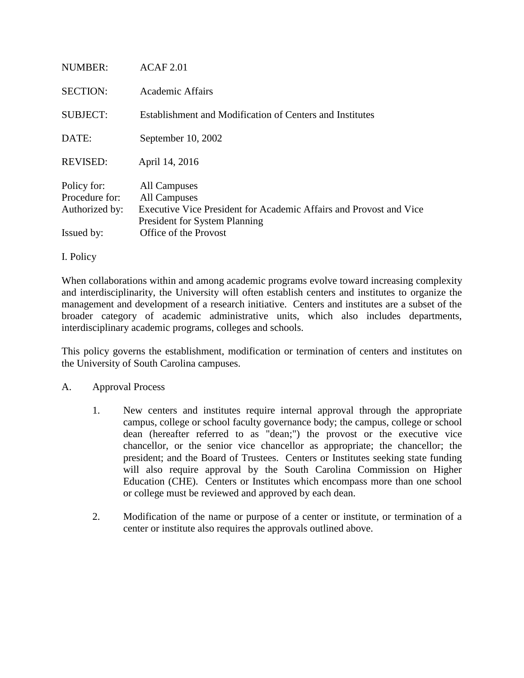| NUMBER:                                                       | ACAF 2.01                                                                                                                                                           |
|---------------------------------------------------------------|---------------------------------------------------------------------------------------------------------------------------------------------------------------------|
| <b>SECTION:</b>                                               | Academic Affairs                                                                                                                                                    |
| <b>SUBJECT:</b>                                               | Establishment and Modification of Centers and Institutes                                                                                                            |
| DATE:                                                         | September 10, 2002                                                                                                                                                  |
| <b>REVISED:</b>                                               | April 14, 2016                                                                                                                                                      |
| Policy for:<br>Procedure for:<br>Authorized by:<br>Issued by: | All Campuses<br>All Campuses<br>Executive Vice President for Academic Affairs and Provost and Vice<br><b>President for System Planning</b><br>Office of the Provost |

I. Policy

When collaborations within and among academic programs evolve toward increasing complexity and interdisciplinarity, the University will often establish centers and institutes to organize the management and development of a research initiative. Centers and institutes are a subset of the broader category of academic administrative units, which also includes departments, interdisciplinary academic programs, colleges and schools.

This policy governs the establishment, modification or termination of centers and institutes on the University of South Carolina campuses.

#### A. Approval Process

- 1. New centers and institutes require internal approval through the appropriate campus, college or school faculty governance body; the campus, college or school dean (hereafter referred to as "dean;") the provost or the executive vice chancellor, or the senior vice chancellor as appropriate; the chancellor; the president; and the Board of Trustees. Centers or Institutes seeking state funding will also require approval by the South Carolina Commission on Higher Education (CHE). Centers or Institutes which encompass more than one school or college must be reviewed and approved by each dean.
- 2. Modification of the name or purpose of a center or institute, or termination of a center or institute also requires the approvals outlined above.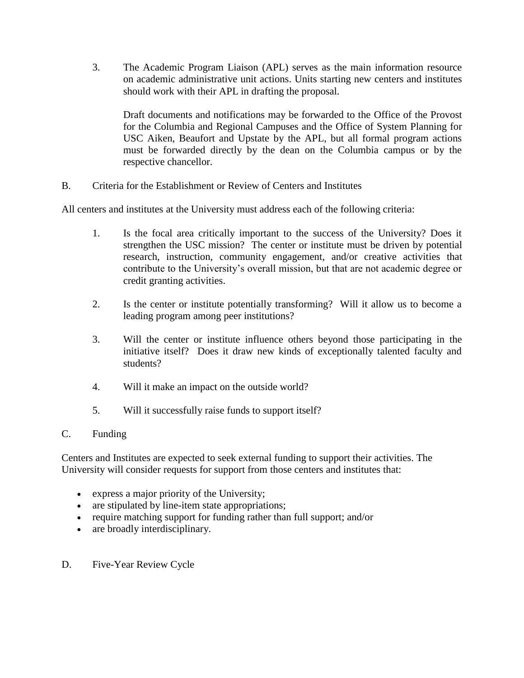3. The Academic Program Liaison (APL) serves as the main information resource on academic administrative unit actions. Units starting new centers and institutes should work with their APL in drafting the proposal.

Draft documents and notifications may be forwarded to the Office of the Provost for the Columbia and Regional Campuses and the Office of System Planning for USC Aiken, Beaufort and Upstate by the APL, but all formal program actions must be forwarded directly by the dean on the Columbia campus or by the respective chancellor.

B. Criteria for the Establishment or Review of Centers and Institutes

All centers and institutes at the University must address each of the following criteria:

- 1. Is the focal area critically important to the success of the University? Does it strengthen the USC mission? The center or institute must be driven by potential research, instruction, community engagement, and/or creative activities that contribute to the University's overall mission, but that are not academic degree or credit granting activities.
- 2. Is the center or institute potentially transforming? Will it allow us to become a leading program among peer institutions?
- 3. Will the center or institute influence others beyond those participating in the initiative itself? Does it draw new kinds of exceptionally talented faculty and students?
- 4. Will it make an impact on the outside world?
- 5. Will it successfully raise funds to support itself?
- C. Funding

Centers and Institutes are expected to seek external funding to support their activities. The University will consider requests for support from those centers and institutes that:

- express a major priority of the University;
- are stipulated by line-item state appropriations;
- require matching support for funding rather than full support; and/or
- are broadly interdisciplinary.
- D. Five-Year Review Cycle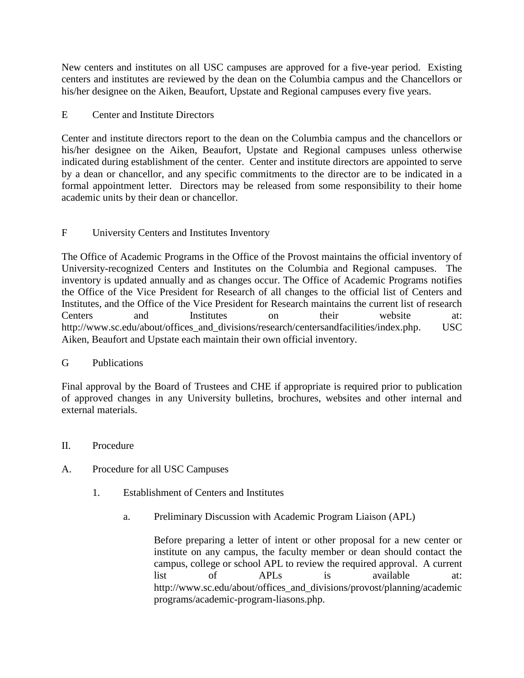New centers and institutes on all USC campuses are approved for a five-year period. Existing centers and institutes are reviewed by the dean on the Columbia campus and the Chancellors or his/her designee on the Aiken, Beaufort, Upstate and Regional campuses every five years.

# E Center and Institute Directors

Center and institute directors report to the dean on the Columbia campus and the chancellors or his/her designee on the Aiken, Beaufort, Upstate and Regional campuses unless otherwise indicated during establishment of the center. Center and institute directors are appointed to serve by a dean or chancellor, and any specific commitments to the director are to be indicated in a formal appointment letter. Directors may be released from some responsibility to their home academic units by their dean or chancellor.

# F University Centers and Institutes Inventory

The Office of Academic Programs in the Office of the Provost maintains the official inventory of University-recognized Centers and Institutes on the Columbia and Regional campuses. The inventory is updated annually and as changes occur. The Office of Academic Programs notifies the Office of the Vice President for Research of all changes to the official list of Centers and Institutes, and the Office of the Vice President for Research maintains the current list of research Centers and Institutes on their website at: http://www.sc.edu/about/offices\_and\_divisions/research/centersandfacilities/index.php. USC Aiken, Beaufort and Upstate each maintain their own official inventory.

### G Publications

Final approval by the Board of Trustees and CHE if appropriate is required prior to publication of approved changes in any University bulletins, brochures, websites and other internal and external materials.

- II. Procedure
- A. Procedure for all USC Campuses
	- 1. Establishment of Centers and Institutes
		- a. Preliminary Discussion with Academic Program Liaison (APL)

Before preparing a letter of intent or other proposal for a new center or institute on any campus, the faculty member or dean should contact the campus, college or school APL to review the required approval. A current list of APLs is available at: http://www.sc.edu/about/offices\_and\_divisions/provost/planning/academic programs/academic-program-liasons.php.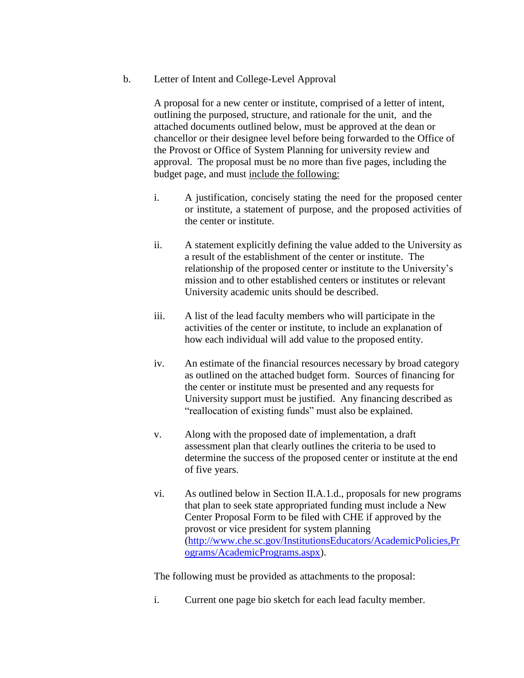b. Letter of Intent and College-Level Approval

A proposal for a new center or institute, comprised of a letter of intent, outlining the purposed, structure, and rationale for the unit, and the attached documents outlined below, must be approved at the dean or chancellor or their designee level before being forwarded to the Office of the Provost or Office of System Planning for university review and approval. The proposal must be no more than five pages, including the budget page, and must include the following:

- i. A justification, concisely stating the need for the proposed center or institute, a statement of purpose, and the proposed activities of the center or institute.
- ii. A statement explicitly defining the value added to the University as a result of the establishment of the center or institute. The relationship of the proposed center or institute to the University's mission and to other established centers or institutes or relevant University academic units should be described.
- iii. A list of the lead faculty members who will participate in the activities of the center or institute, to include an explanation of how each individual will add value to the proposed entity.
- iv. An estimate of the financial resources necessary by broad category as outlined on the attached budget form. Sources of financing for the center or institute must be presented and any requests for University support must be justified. Any financing described as "reallocation of existing funds" must also be explained.
- v. Along with the proposed date of implementation, a draft assessment plan that clearly outlines the criteria to be used to determine the success of the proposed center or institute at the end of five years.
- vi. As outlined below in Section II.A.1.d., proposals for new programs that plan to seek state appropriated funding must include a New Center Proposal Form to be filed with CHE if approved by the provost or vice president for system planning [\(http://www.che.sc.gov/InstitutionsEducators/AcademicPolicies,Pr](http://www.che.sc.gov/InstitutionsEducators/AcademicPolicies,Programs/AcademicPrograms.aspx) [ograms/AcademicPrograms.aspx\)](http://www.che.sc.gov/InstitutionsEducators/AcademicPolicies,Programs/AcademicPrograms.aspx).

The following must be provided as attachments to the proposal:

i. Current one page bio sketch for each lead faculty member.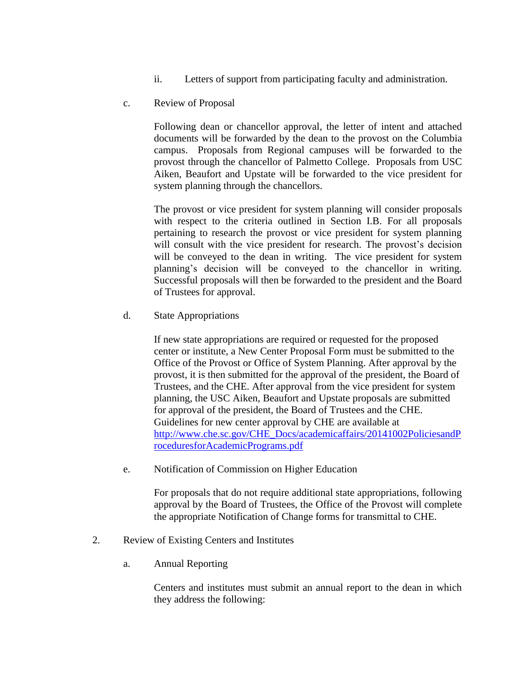- ii. Letters of support from participating faculty and administration.
- c. Review of Proposal

Following dean or chancellor approval, the letter of intent and attached documents will be forwarded by the dean to the provost on the Columbia campus. Proposals from Regional campuses will be forwarded to the provost through the chancellor of Palmetto College. Proposals from USC Aiken, Beaufort and Upstate will be forwarded to the vice president for system planning through the chancellors.

The provost or vice president for system planning will consider proposals with respect to the criteria outlined in Section I.B. For all proposals pertaining to research the provost or vice president for system planning will consult with the vice president for research. The provost's decision will be conveyed to the dean in writing. The vice president for system planning's decision will be conveyed to the chancellor in writing. Successful proposals will then be forwarded to the president and the Board of Trustees for approval.

d. State Appropriations

If new state appropriations are required or requested for the proposed center or institute, a New Center Proposal Form must be submitted to the Office of the Provost or Office of System Planning. After approval by the provost, it is then submitted for the approval of the president, the Board of Trustees, and the CHE. After approval from the vice president for system planning, the USC Aiken, Beaufort and Upstate proposals are submitted for approval of the president, the Board of Trustees and the CHE. Guidelines for new center approval by CHE are available at [http://www.che.sc.gov/CHE\\_Docs/academicaffairs/20141002PoliciesandP](http://www.che.sc.gov/CHE_Docs/academicaffairs/20141002PoliciesandProceduresforAcademicPrograms.pdf) [roceduresforAcademicPrograms.pdf](http://www.che.sc.gov/CHE_Docs/academicaffairs/20141002PoliciesandProceduresforAcademicPrograms.pdf)

e. Notification of Commission on Higher Education

For proposals that do not require additional state appropriations, following approval by the Board of Trustees, the Office of the Provost will complete the appropriate Notification of Change forms for transmittal to CHE.

- 2. Review of Existing Centers and Institutes
	- a. Annual Reporting

Centers and institutes must submit an annual report to the dean in which they address the following: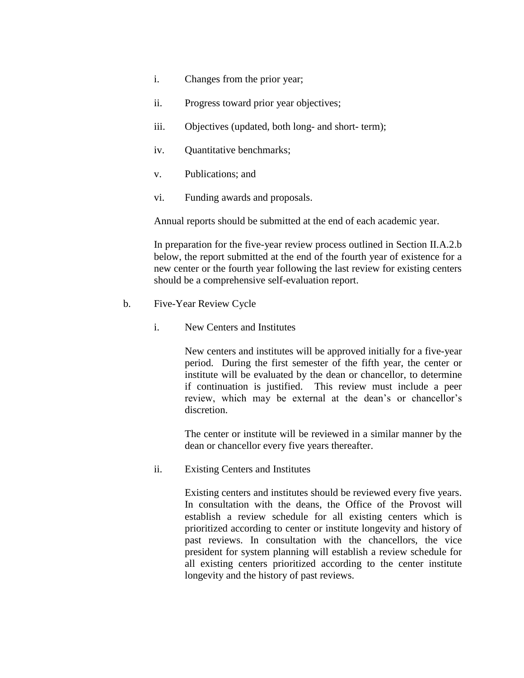- i. Changes from the prior year;
- ii. Progress toward prior year objectives;
- iii. Objectives (updated, both long- and short- term);
- iv. Quantitative benchmarks;
- v. Publications; and
- vi. Funding awards and proposals.

Annual reports should be submitted at the end of each academic year.

In preparation for the five-year review process outlined in Section II.A.2.b below, the report submitted at the end of the fourth year of existence for a new center or the fourth year following the last review for existing centers should be a comprehensive self-evaluation report.

- b. Five-Year Review Cycle
	- i. New Centers and Institutes

New centers and institutes will be approved initially for a five-year period. During the first semester of the fifth year, the center or institute will be evaluated by the dean or chancellor, to determine if continuation is justified. This review must include a peer review, which may be external at the dean's or chancellor's discretion.

The center or institute will be reviewed in a similar manner by the dean or chancellor every five years thereafter.

ii. Existing Centers and Institutes

Existing centers and institutes should be reviewed every five years. In consultation with the deans, the Office of the Provost will establish a review schedule for all existing centers which is prioritized according to center or institute longevity and history of past reviews. In consultation with the chancellors, the vice president for system planning will establish a review schedule for all existing centers prioritized according to the center institute longevity and the history of past reviews.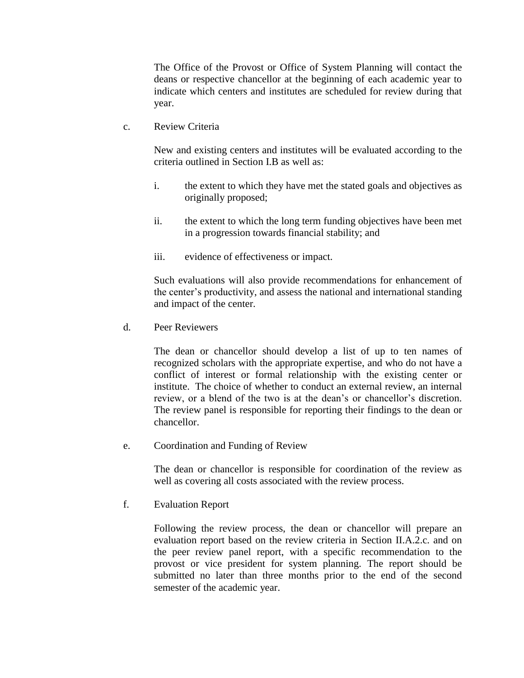The Office of the Provost or Office of System Planning will contact the deans or respective chancellor at the beginning of each academic year to indicate which centers and institutes are scheduled for review during that year.

c. Review Criteria

New and existing centers and institutes will be evaluated according to the criteria outlined in Section I.B as well as:

- i. the extent to which they have met the stated goals and objectives as originally proposed;
- ii. the extent to which the long term funding objectives have been met in a progression towards financial stability; and
- iii. evidence of effectiveness or impact.

Such evaluations will also provide recommendations for enhancement of the center's productivity, and assess the national and international standing and impact of the center.

d. Peer Reviewers

The dean or chancellor should develop a list of up to ten names of recognized scholars with the appropriate expertise, and who do not have a conflict of interest or formal relationship with the existing center or institute. The choice of whether to conduct an external review, an internal review, or a blend of the two is at the dean's or chancellor's discretion. The review panel is responsible for reporting their findings to the dean or chancellor.

e. Coordination and Funding of Review

The dean or chancellor is responsible for coordination of the review as well as covering all costs associated with the review process.

f. Evaluation Report

Following the review process, the dean or chancellor will prepare an evaluation report based on the review criteria in Section II.A.2.c. and on the peer review panel report, with a specific recommendation to the provost or vice president for system planning. The report should be submitted no later than three months prior to the end of the second semester of the academic year.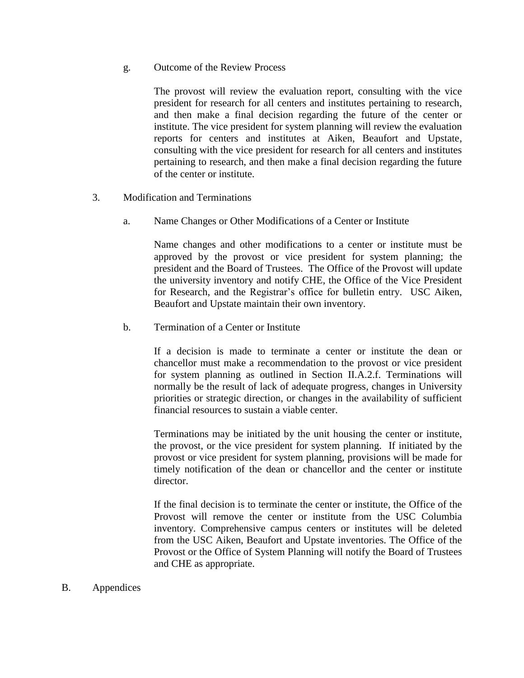g. Outcome of the Review Process

The provost will review the evaluation report, consulting with the vice president for research for all centers and institutes pertaining to research, and then make a final decision regarding the future of the center or institute. The vice president for system planning will review the evaluation reports for centers and institutes at Aiken, Beaufort and Upstate, consulting with the vice president for research for all centers and institutes pertaining to research, and then make a final decision regarding the future of the center or institute.

- 3. Modification and Terminations
	- a. Name Changes or Other Modifications of a Center or Institute

Name changes and other modifications to a center or institute must be approved by the provost or vice president for system planning; the president and the Board of Trustees. The Office of the Provost will update the university inventory and notify CHE, the Office of the Vice President for Research, and the Registrar's office for bulletin entry. USC Aiken, Beaufort and Upstate maintain their own inventory.

b. Termination of a Center or Institute

If a decision is made to terminate a center or institute the dean or chancellor must make a recommendation to the provost or vice president for system planning as outlined in Section II.A.2.f. Terminations will normally be the result of lack of adequate progress, changes in University priorities or strategic direction, or changes in the availability of sufficient financial resources to sustain a viable center.

Terminations may be initiated by the unit housing the center or institute, the provost, or the vice president for system planning. If initiated by the provost or vice president for system planning, provisions will be made for timely notification of the dean or chancellor and the center or institute director.

If the final decision is to terminate the center or institute, the Office of the Provost will remove the center or institute from the USC Columbia inventory. Comprehensive campus centers or institutes will be deleted from the USC Aiken, Beaufort and Upstate inventories. The Office of the Provost or the Office of System Planning will notify the Board of Trustees and CHE as appropriate.

B. Appendices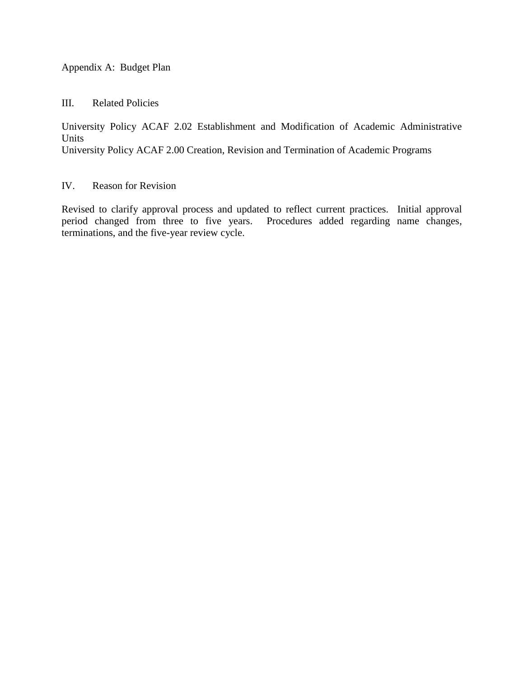### Appendix A: Budget Plan

III. Related Policies

University Policy ACAF 2.02 Establishment and Modification of Academic Administrative Units

University Policy ACAF 2.00 Creation, Revision and Termination of Academic Programs

# IV. Reason for Revision

Revised to clarify approval process and updated to reflect current practices. Initial approval period changed from three to five years. Procedures added regarding name changes, terminations, and the five-year review cycle.